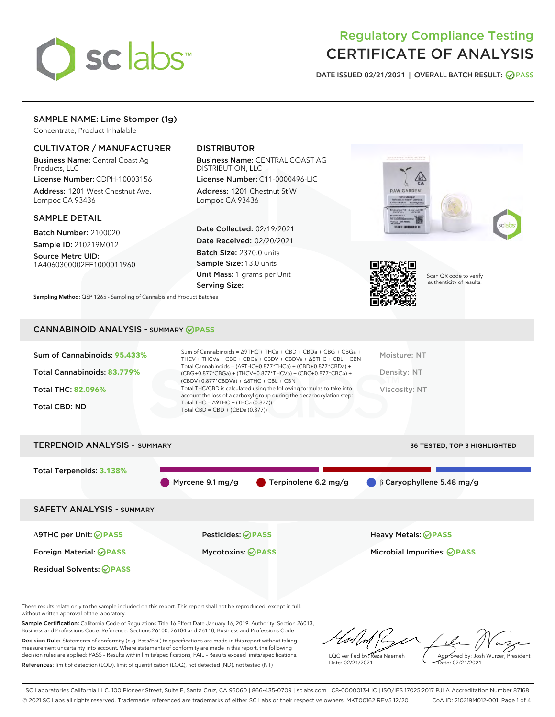

# Regulatory Compliance Testing CERTIFICATE OF ANALYSIS

DATE ISSUED 02/21/2021 | OVERALL BATCH RESULT: @ PASS

# SAMPLE NAME: Lime Stomper (1g)

Concentrate, Product Inhalable

# CULTIVATOR / MANUFACTURER

Business Name: Central Coast Ag Products, LLC

License Number: CDPH-10003156 Address: 1201 West Chestnut Ave. Lompoc CA 93436

## SAMPLE DETAIL

Batch Number: 2100020 Sample ID: 210219M012

Source Metrc UID: 1A4060300002EE1000011960

# DISTRIBUTOR

Business Name: CENTRAL COAST AG DISTRIBUTION, LLC

License Number: C11-0000496-LIC Address: 1201 Chestnut St W Lompoc CA 93436

Date Collected: 02/19/2021 Date Received: 02/20/2021 Batch Size: 2370.0 units Sample Size: 13.0 units Unit Mass: 1 grams per Unit Serving Size:

Sampling Method: QSP 1265 - Sampling of Cannabis and Product Batches





Scan QR code to verify authenticity of results.

## CANNABINOID ANALYSIS - SUMMARY **PASS**

| $(CBDV+0.877*CBDVa) + \Delta 8THC + CBL + CBN$<br>Total THC/CBD is calculated using the following formulas to take into<br><b>Viscosity: NT</b><br>Total THC: 82.096%<br>account the loss of a carboxyl group during the decarboxylation step:<br>Total THC = $\triangle$ 9THC + (THCa (0.877))<br><b>Total CBD: ND</b><br>Total CBD = $CBD + (CBDa (0.877))$ |
|---------------------------------------------------------------------------------------------------------------------------------------------------------------------------------------------------------------------------------------------------------------------------------------------------------------------------------------------------------------|
|---------------------------------------------------------------------------------------------------------------------------------------------------------------------------------------------------------------------------------------------------------------------------------------------------------------------------------------------------------------|



These results relate only to the sample included on this report. This report shall not be reproduced, except in full, without written approval of the laboratory.

Sample Certification: California Code of Regulations Title 16 Effect Date January 16, 2019. Authority: Section 26013, Business and Professions Code. Reference: Sections 26100, 26104 and 26110, Business and Professions Code.

Decision Rule: Statements of conformity (e.g. Pass/Fail) to specifications are made in this report without taking measurement uncertainty into account. Where statements of conformity are made in this report, the following decision rules are applied: PASS – Results within limits/specifications, FAIL – Results exceed limits/specifications. References: limit of detection (LOD), limit of quantification (LOQ), not detected (ND), not tested (NT)

LQC verified by: Reza Naemeh Date: 02/21/2021 Approved by: Josh Wurzer, President Date: 02/21/2021

SC Laboratories California LLC. 100 Pioneer Street, Suite E, Santa Cruz, CA 95060 | 866-435-0709 | sclabs.com | C8-0000013-LIC | ISO/IES 17025:2017 PJLA Accreditation Number 87168 © 2021 SC Labs all rights reserved. Trademarks referenced are trademarks of either SC Labs or their respective owners. MKT00162 REV5 12/20 CoA ID: 210219M012-001 Page 1 of 4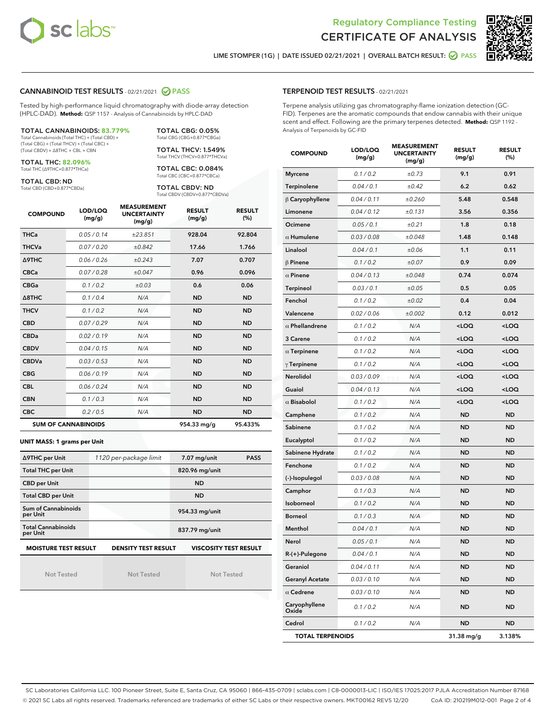



LIME STOMPER (1G) | DATE ISSUED 02/21/2021 | OVERALL BATCH RESULT: @ PASS

## CANNABINOID TEST RESULTS - 02/21/2021 2 PASS

Tested by high-performance liquid chromatography with diode-array detection (HPLC-DAD). **Method:** QSP 1157 - Analysis of Cannabinoids by HPLC-DAD

#### TOTAL CANNABINOIDS: **83.779%**

Total Cannabinoids (Total THC) + (Total CBD) + (Total CBG) + (Total THCV) + (Total CBC) + (Total CBDV) + ∆8THC + CBL + CBN

TOTAL THC: **82.096%** Total THC (∆9THC+0.877\*THCa)

TOTAL CBD: ND

Total CBD (CBD+0.877\*CBDa)

TOTAL CBG: 0.05% Total CBG (CBG+0.877\*CBGa) TOTAL THCV: 1.549%

Total THCV (THCV+0.877\*THCVa)

TOTAL CBC: 0.084% Total CBC (CBC+0.877\*CBCa)

TOTAL CBDV: ND Total CBDV (CBDV+0.877\*CBDVa)

| <b>COMPOUND</b>  | LOD/LOQ<br>(mg/g)          | <b>MEASUREMENT</b><br><b>UNCERTAINTY</b><br>(mg/g) | <b>RESULT</b><br>(mg/g) | <b>RESULT</b><br>(%) |
|------------------|----------------------------|----------------------------------------------------|-------------------------|----------------------|
| <b>THCa</b>      | 0.05/0.14                  | ±23.851                                            | 928.04                  | 92.804               |
| <b>THCVa</b>     | 0.07/0.20                  | ±0.842                                             | 17.66                   | 1.766                |
| <b>A9THC</b>     | 0.06/0.26                  | ±0.243                                             | 7.07                    | 0.707                |
| <b>CBCa</b>      | 0.07/0.28                  | ±0.047                                             | 0.96                    | 0.096                |
| <b>CBGa</b>      | 0.1/0.2                    | ±0.03                                              | 0.6                     | 0.06                 |
| $\triangle$ 8THC | 0.1 / 0.4                  | N/A                                                | <b>ND</b>               | <b>ND</b>            |
| <b>THCV</b>      | 0.1/0.2                    | N/A                                                | <b>ND</b>               | <b>ND</b>            |
| <b>CBD</b>       | 0.07/0.29                  | N/A                                                | <b>ND</b>               | <b>ND</b>            |
| <b>CBDa</b>      | 0.02/0.19                  | N/A                                                | <b>ND</b>               | <b>ND</b>            |
| <b>CBDV</b>      | 0.04 / 0.15                | N/A                                                | <b>ND</b>               | <b>ND</b>            |
| <b>CBDVa</b>     | 0.03/0.53                  | N/A                                                | <b>ND</b>               | <b>ND</b>            |
| <b>CBG</b>       | 0.06/0.19                  | N/A                                                | <b>ND</b>               | <b>ND</b>            |
| <b>CBL</b>       | 0.06 / 0.24                | N/A                                                | <b>ND</b>               | <b>ND</b>            |
| <b>CBN</b>       | 0.1/0.3                    | N/A                                                | <b>ND</b>               | <b>ND</b>            |
| <b>CBC</b>       | 0.2 / 0.5                  | N/A                                                | <b>ND</b>               | <b>ND</b>            |
|                  | <b>SUM OF CANNABINOIDS</b> |                                                    | 954.33 mg/g             | 95.433%              |

#### **UNIT MASS: 1 grams per Unit**

| ∆9THC per Unit                                                                            | 1120 per-package limit | 7.07 mg/unit<br><b>PASS</b> |  |  |  |
|-------------------------------------------------------------------------------------------|------------------------|-----------------------------|--|--|--|
| <b>Total THC per Unit</b>                                                                 |                        | 820.96 mg/unit              |  |  |  |
| <b>CBD per Unit</b>                                                                       |                        | <b>ND</b>                   |  |  |  |
| <b>Total CBD per Unit</b>                                                                 |                        | <b>ND</b>                   |  |  |  |
| Sum of Cannabinoids<br>per Unit                                                           |                        | 954.33 mg/unit              |  |  |  |
| <b>Total Cannabinoids</b><br>per Unit                                                     |                        | 837.79 mg/unit              |  |  |  |
| <b>MOISTURE TEST RESULT</b><br><b>VISCOSITY TEST RESULT</b><br><b>DENSITY TEST RESULT</b> |                        |                             |  |  |  |

Not Tested

Not Tested

Not Tested

#### TERPENOID TEST RESULTS - 02/21/2021

Terpene analysis utilizing gas chromatography-flame ionization detection (GC-FID). Terpenes are the aromatic compounds that endow cannabis with their unique scent and effect. Following are the primary terpenes detected. **Method:** QSP 1192 - Analysis of Terpenoids by GC-FID

| <b>COMPOUND</b>         | LOD/LOQ<br>(mg/g) | <b>MEASUREMENT</b><br><b>UNCERTAINTY</b><br>(mg/g) | <b>RESULT</b><br>(mg/g)                         | <b>RESULT</b><br>(%) |
|-------------------------|-------------------|----------------------------------------------------|-------------------------------------------------|----------------------|
| <b>Myrcene</b>          | 0.1 / 0.2         | ±0.73                                              | 9.1                                             | 0.91                 |
| Terpinolene             | 0.04 / 0.1        | $\pm 0.42$                                         | 6.2                                             | 0.62                 |
| $\beta$ Caryophyllene   | 0.04 / 0.11       | ±0.260                                             | 5.48                                            | 0.548                |
| Limonene                | 0.04 / 0.12       | ±0.131                                             | 3.56                                            | 0.356                |
| Ocimene                 | 0.05 / 0.1        | ±0.21                                              | 1.8                                             | 0.18                 |
| $\alpha$ Humulene       | 0.03 / 0.08       | ±0.048                                             | 1.48                                            | 0.148                |
| Linalool                | 0.04 / 0.1        | ±0.06                                              | 1.1                                             | 0.11                 |
| $\beta$ Pinene          | 0.1 / 0.2         | ±0.07                                              | 0.9                                             | 0.09                 |
| $\alpha$ Pinene         | 0.04 / 0.13       | ±0.048                                             | 0.74                                            | 0.074                |
| Terpineol               | 0.03 / 0.1        | ±0.05                                              | 0.5                                             | 0.05                 |
| Fenchol                 | 0.1 / 0.2         | ±0.02                                              | 0.4                                             | 0.04                 |
| Valencene               | 0.02 / 0.06       | ±0.002                                             | 0.12                                            | 0.012                |
| $\alpha$ Phellandrene   | 0.1 / 0.2         | N/A                                                | <loq< th=""><th><loq< th=""></loq<></th></loq<> | <loq< th=""></loq<>  |
| 3 Carene                | 0.1 / 0.2         | N/A                                                | <loq< th=""><th><loq< th=""></loq<></th></loq<> | <loq< th=""></loq<>  |
| $\alpha$ Terpinene      | 0.1 / 0.2         | N/A                                                | <loq< th=""><th><loq< th=""></loq<></th></loq<> | <loq< th=""></loq<>  |
| $\gamma$ Terpinene      | 0.1 / 0.2         | N/A                                                | <loq< th=""><th><loq< th=""></loq<></th></loq<> | <loq< th=""></loq<>  |
| <b>Nerolidol</b>        | 0.03 / 0.09       | N/A                                                | <loq< th=""><th><loq< th=""></loq<></th></loq<> | <loq< th=""></loq<>  |
| Guaiol                  | 0.04 / 0.13       | N/A                                                | <loq< th=""><th><loq< th=""></loq<></th></loq<> | <loq< th=""></loq<>  |
| $\alpha$ Bisabolol      | 0.1 / 0.2         | N/A                                                | $<$ LOQ                                         | <loq< th=""></loq<>  |
| Camphene                | 0.1 / 0.2         | N/A                                                | <b>ND</b>                                       | <b>ND</b>            |
| Sabinene                | 0.1 / 0.2         | N/A                                                | <b>ND</b>                                       | <b>ND</b>            |
| Eucalyptol              | 0.1 / 0.2         | N/A                                                | <b>ND</b>                                       | <b>ND</b>            |
| Sabinene Hydrate        | 0.1 / 0.2         | N/A                                                | <b>ND</b>                                       | <b>ND</b>            |
| Fenchone                | 0.1 / 0.2         | N/A                                                | <b>ND</b>                                       | <b>ND</b>            |
| (-)-Isopulegol          | 0.03 / 0.08       | N/A                                                | ND                                              | <b>ND</b>            |
| Camphor                 | 0.1 / 0.3         | N/A                                                | <b>ND</b>                                       | <b>ND</b>            |
| Isoborneol              | 0.1 / 0.2         | N/A                                                | ND                                              | <b>ND</b>            |
| <b>Borneol</b>          | 0.1 / 0.3         | N/A                                                | ND                                              | <b>ND</b>            |
| Menthol                 | 0.04 / 0.1        | N/A                                                | <b>ND</b>                                       | <b>ND</b>            |
| Nerol                   | 0.05 / 0.1        | N/A                                                | ND                                              | <b>ND</b>            |
| R-(+)-Pulegone          | 0.04 / 0.1        | N/A                                                | ND                                              | ND                   |
| Geraniol                | 0.04 / 0.11       | N/A                                                | ND                                              | <b>ND</b>            |
| <b>Geranyl Acetate</b>  | 0.03 / 0.10       | N/A                                                | ND                                              | ND                   |
| $\alpha$ Cedrene        | 0.03 / 0.10       | N/A                                                | ND                                              | ND                   |
| Caryophyllene<br>Oxide  | 0.1 / 0.2         | N/A                                                | ND                                              | <b>ND</b>            |
| Cedrol                  | 0.1/0.2           | N/A                                                | ND                                              | ND                   |
| <b>TOTAL TERPENOIDS</b> |                   |                                                    | 31.38 mg/g                                      | 3.138%               |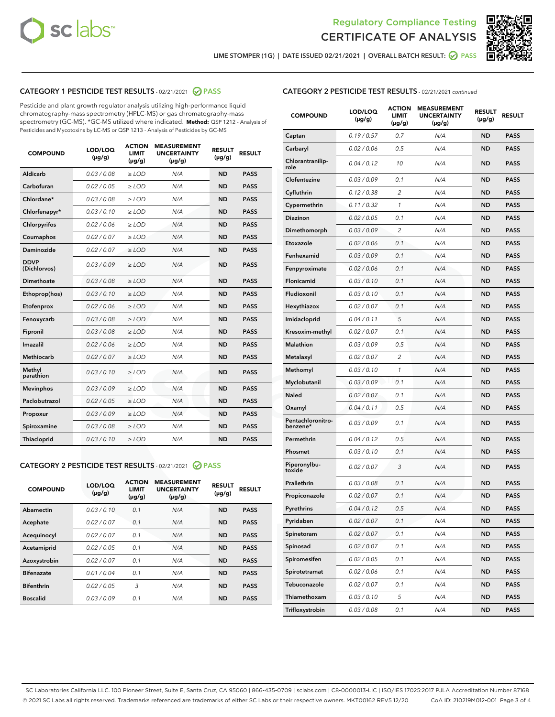



LIME STOMPER (1G) | DATE ISSUED 02/21/2021 | OVERALL BATCH RESULT:  $\bigcirc$  PASS

# CATEGORY 1 PESTICIDE TEST RESULTS - 02/21/2021 2 PASS

Pesticide and plant growth regulator analysis utilizing high-performance liquid chromatography-mass spectrometry (HPLC-MS) or gas chromatography-mass spectrometry (GC-MS). \*GC-MS utilized where indicated. **Method:** QSP 1212 - Analysis of Pesticides and Mycotoxins by LC-MS or QSP 1213 - Analysis of Pesticides by GC-MS

| <b>COMPOUND</b>             | LOD/LOQ<br>$(\mu g/g)$ | <b>ACTION</b><br><b>LIMIT</b><br>$(\mu g/g)$ | <b>MEASUREMENT</b><br><b>UNCERTAINTY</b><br>$(\mu g/g)$ | <b>RESULT</b><br>$(\mu g/g)$ | <b>RESULT</b> |
|-----------------------------|------------------------|----------------------------------------------|---------------------------------------------------------|------------------------------|---------------|
| Aldicarb                    | 0.03 / 0.08            | $\ge$ LOD                                    | N/A                                                     | <b>ND</b>                    | <b>PASS</b>   |
| Carbofuran                  | 0.02 / 0.05            | $\ge$ LOD                                    | N/A                                                     | <b>ND</b>                    | <b>PASS</b>   |
| Chlordane*                  | 0.03 / 0.08            | $\ge$ LOD                                    | N/A                                                     | <b>ND</b>                    | <b>PASS</b>   |
| Chlorfenapyr*               | 0.03/0.10              | $\ge$ LOD                                    | N/A                                                     | <b>ND</b>                    | <b>PASS</b>   |
| Chlorpyrifos                | 0.02 / 0.06            | $\ge$ LOD                                    | N/A                                                     | <b>ND</b>                    | <b>PASS</b>   |
| Coumaphos                   | 0.02 / 0.07            | $\ge$ LOD                                    | N/A                                                     | <b>ND</b>                    | <b>PASS</b>   |
| Daminozide                  | 0.02/0.07              | $\geq$ LOD                                   | N/A                                                     | <b>ND</b>                    | <b>PASS</b>   |
| <b>DDVP</b><br>(Dichlorvos) | 0.03/0.09              | $>$ LOD                                      | N/A                                                     | <b>ND</b>                    | <b>PASS</b>   |
| Dimethoate                  | 0.03 / 0.08            | $\ge$ LOD                                    | N/A                                                     | <b>ND</b>                    | <b>PASS</b>   |
| Ethoprop(hos)               | 0.03/0.10              | $>$ LOD                                      | N/A                                                     | <b>ND</b>                    | <b>PASS</b>   |
| Etofenprox                  | 0.02 / 0.06            | $\ge$ LOD                                    | N/A                                                     | <b>ND</b>                    | <b>PASS</b>   |
| Fenoxycarb                  | 0.03 / 0.08            | $\ge$ LOD                                    | N/A                                                     | <b>ND</b>                    | <b>PASS</b>   |
| Fipronil                    | 0.03/0.08              | $>$ LOD                                      | N/A                                                     | <b>ND</b>                    | <b>PASS</b>   |
| Imazalil                    | 0.02 / 0.06            | $\ge$ LOD                                    | N/A                                                     | <b>ND</b>                    | <b>PASS</b>   |
| Methiocarb                  | 0.02 / 0.07            | $\ge$ LOD                                    | N/A                                                     | <b>ND</b>                    | <b>PASS</b>   |
| Methyl<br>parathion         | 0.03/0.10              | $\ge$ LOD                                    | N/A                                                     | <b>ND</b>                    | <b>PASS</b>   |
| <b>Mevinphos</b>            | 0.03/0.09              | $\ge$ LOD                                    | N/A                                                     | <b>ND</b>                    | <b>PASS</b>   |
| Paclobutrazol               | 0.02 / 0.05            | $\ge$ LOD                                    | N/A                                                     | <b>ND</b>                    | <b>PASS</b>   |
| Propoxur                    | 0.03 / 0.09            | $\ge$ LOD                                    | N/A                                                     | <b>ND</b>                    | <b>PASS</b>   |
| Spiroxamine                 | 0.03 / 0.08            | $\ge$ LOD                                    | N/A                                                     | <b>ND</b>                    | <b>PASS</b>   |
| <b>Thiacloprid</b>          | 0.03/0.10              | $\ge$ LOD                                    | N/A                                                     | <b>ND</b>                    | <b>PASS</b>   |

# CATEGORY 2 PESTICIDE TEST RESULTS - 02/21/2021 @ PASS

| <b>COMPOUND</b>   | LOD/LOQ<br>$(\mu g/g)$ | <b>ACTION</b><br><b>LIMIT</b><br>$(\mu g/g)$ | <b>MEASUREMENT</b><br><b>UNCERTAINTY</b><br>$(\mu g/g)$ | <b>RESULT</b><br>$(\mu g/g)$ | <b>RESULT</b> |
|-------------------|------------------------|----------------------------------------------|---------------------------------------------------------|------------------------------|---------------|
| Abamectin         | 0.03/0.10              | 0.1                                          | N/A                                                     | <b>ND</b>                    | <b>PASS</b>   |
| Acephate          | 0.02/0.07              | 0.1                                          | N/A                                                     | <b>ND</b>                    | <b>PASS</b>   |
| Acequinocyl       | 0.02/0.07              | 0.1                                          | N/A                                                     | <b>ND</b>                    | <b>PASS</b>   |
| Acetamiprid       | 0.02/0.05              | 0.1                                          | N/A                                                     | <b>ND</b>                    | <b>PASS</b>   |
| Azoxystrobin      | 0.02/0.07              | 0.1                                          | N/A                                                     | <b>ND</b>                    | <b>PASS</b>   |
| <b>Bifenazate</b> | 0.01/0.04              | 0.1                                          | N/A                                                     | <b>ND</b>                    | <b>PASS</b>   |
| <b>Bifenthrin</b> | 0.02/0.05              | 3                                            | N/A                                                     | <b>ND</b>                    | <b>PASS</b>   |
| <b>Boscalid</b>   | 0.03/0.09              | 0.1                                          | N/A                                                     | <b>ND</b>                    | <b>PASS</b>   |

# CATEGORY 2 PESTICIDE TEST RESULTS - 02/21/2021 continued

| <b>COMPOUND</b>               | LOD/LOQ<br>(µg/g) | <b>ACTION</b><br>LIMIT<br>$(\mu g/g)$ | <b>MEASUREMENT</b><br><b>UNCERTAINTY</b><br>(µg/g) | <b>RESULT</b><br>(µg/g) | <b>RESULT</b> |
|-------------------------------|-------------------|---------------------------------------|----------------------------------------------------|-------------------------|---------------|
| Captan                        | 0.19/0.57         | 0.7                                   | N/A                                                | <b>ND</b>               | <b>PASS</b>   |
| Carbaryl                      | 0.02 / 0.06       | 0.5                                   | N/A                                                | ND                      | <b>PASS</b>   |
| Chlorantranilip-<br>role      | 0.04 / 0.12       | 10                                    | N/A                                                | <b>ND</b>               | <b>PASS</b>   |
| Clofentezine                  | 0.03 / 0.09       | 0.1                                   | N/A                                                | <b>ND</b>               | <b>PASS</b>   |
| Cyfluthrin                    | 0.12 / 0.38       | $\overline{c}$                        | N/A                                                | <b>ND</b>               | <b>PASS</b>   |
| Cypermethrin                  | 0.11 / 0.32       | 1                                     | N/A                                                | <b>ND</b>               | <b>PASS</b>   |
| <b>Diazinon</b>               | 0.02 / 0.05       | 0.1                                   | N/A                                                | <b>ND</b>               | <b>PASS</b>   |
| Dimethomorph                  | 0.03 / 0.09       | 2                                     | N/A                                                | <b>ND</b>               | <b>PASS</b>   |
| Etoxazole                     | 0.02 / 0.06       | 0.1                                   | N/A                                                | <b>ND</b>               | <b>PASS</b>   |
| Fenhexamid                    | 0.03 / 0.09       | 0.1                                   | N/A                                                | <b>ND</b>               | <b>PASS</b>   |
| Fenpyroximate                 | 0.02 / 0.06       | 0.1                                   | N/A                                                | <b>ND</b>               | <b>PASS</b>   |
| <b>Flonicamid</b>             | 0.03/0.10         | 0.1                                   | N/A                                                | <b>ND</b>               | <b>PASS</b>   |
| Fludioxonil                   | 0.03/0.10         | 0.1                                   | N/A                                                | <b>ND</b>               | <b>PASS</b>   |
| Hexythiazox                   | 0.02 / 0.07       | 0.1                                   | N/A                                                | <b>ND</b>               | <b>PASS</b>   |
| Imidacloprid                  | 0.04 / 0.11       | 5                                     | N/A                                                | <b>ND</b>               | <b>PASS</b>   |
| Kresoxim-methyl               | 0.02 / 0.07       | 0.1                                   | N/A                                                | ND                      | <b>PASS</b>   |
| <b>Malathion</b>              | 0.03 / 0.09       | 0.5                                   | N/A                                                | <b>ND</b>               | <b>PASS</b>   |
| Metalaxyl                     | 0.02 / 0.07       | 2                                     | N/A                                                | <b>ND</b>               | <b>PASS</b>   |
| Methomyl                      | 0.03 / 0.10       | 1                                     | N/A                                                | <b>ND</b>               | <b>PASS</b>   |
| Myclobutanil                  | 0.03 / 0.09       | 0.1                                   | N/A                                                | <b>ND</b>               | <b>PASS</b>   |
| <b>Naled</b>                  | 0.02 / 0.07       | 0.1                                   | N/A                                                | <b>ND</b>               | <b>PASS</b>   |
| Oxamyl                        | 0.04 / 0.11       | 0.5                                   | N/A                                                | <b>ND</b>               | <b>PASS</b>   |
| Pentachloronitro-<br>benzene* | 0.03 / 0.09       | 0.1                                   | N/A                                                | <b>ND</b>               | <b>PASS</b>   |
| Permethrin                    | 0.04 / 0.12       | 0.5                                   | N/A                                                | <b>ND</b>               | <b>PASS</b>   |
| Phosmet                       | 0.03 / 0.10       | 0.1                                   | N/A                                                | <b>ND</b>               | <b>PASS</b>   |
| Piperonylbu-<br>toxide        | 0.02 / 0.07       | 3                                     | N/A                                                | <b>ND</b>               | <b>PASS</b>   |
| Prallethrin                   | 0.03 / 0.08       | 0.1                                   | N/A                                                | <b>ND</b>               | <b>PASS</b>   |
| Propiconazole                 | 0.02 / 0.07       | 0.1                                   | N/A                                                | <b>ND</b>               | <b>PASS</b>   |
| Pyrethrins                    | 0.04 / 0.12       | 0.5                                   | N/A                                                | ND                      | PASS          |
| Pyridaben                     | 0.02 / 0.07       | 0.1                                   | N/A                                                | ND                      | <b>PASS</b>   |
| Spinetoram                    | 0.02 / 0.07       | 0.1                                   | N/A                                                | <b>ND</b>               | <b>PASS</b>   |
| Spinosad                      | 0.02 / 0.07       | 0.1                                   | N/A                                                | <b>ND</b>               | <b>PASS</b>   |
| Spiromesifen                  | 0.02 / 0.05       | 0.1                                   | N/A                                                | <b>ND</b>               | <b>PASS</b>   |
| Spirotetramat                 | 0.02 / 0.06       | 0.1                                   | N/A                                                | <b>ND</b>               | <b>PASS</b>   |
| Tebuconazole                  | 0.02 / 0.07       | 0.1                                   | N/A                                                | ND                      | <b>PASS</b>   |
| Thiamethoxam                  | 0.03 / 0.10       | 5                                     | N/A                                                | <b>ND</b>               | <b>PASS</b>   |
| Trifloxystrobin               | 0.03 / 0.08       | 0.1                                   | N/A                                                | <b>ND</b>               | <b>PASS</b>   |